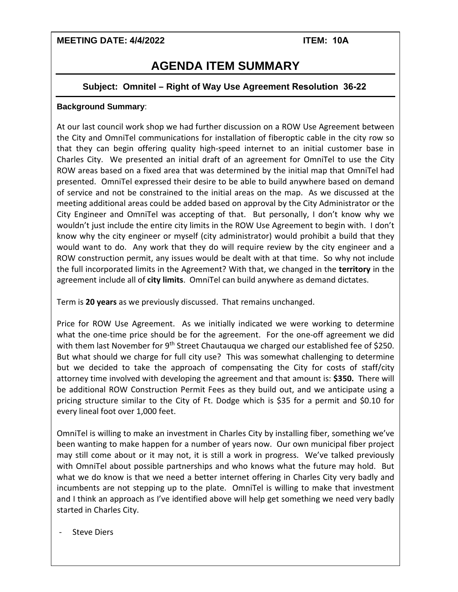### **MEETING DATE: 4/4/2022 ITEM: 10A**

# **AGENDA ITEM SUMMARY**

### **Subject: Omnitel – Right of Way Use Agreement Resolution 36-22**

### **Background Summary**:

At our last council work shop we had further discussion on a ROW Use Agreement between the City and OmniTel communications for installation of fiberoptic cable in the city row so that they can begin offering quality high-speed internet to an initial customer base in Charles City. We presented an initial draft of an agreement for OmniTel to use the City ROW areas based on a fixed area that was determined by the initial map that OmniTel had presented. OmniTel expressed their desire to be able to build anywhere based on demand of service and not be constrained to the initial areas on the map. As we discussed at the meeting additional areas could be added based on approval by the City Administrator or the City Engineer and OmniTel was accepting of that. But personally, I don't know why we wouldn't just include the entire city limits in the ROW Use Agreement to begin with. I don't know why the city engineer or myself (city administrator) would prohibit a build that they would want to do. Any work that they do will require review by the city engineer and a ROW construction permit, any issues would be dealt with at that time. So why not include the full incorporated limits in the Agreement? With that, we changed in the **territory** in the agreement include all of **city limits**. OmniTel can build anywhere as demand dictates.

Term is **20 years** as we previously discussed. That remains unchanged.

Price for ROW Use Agreement. As we initially indicated we were working to determine what the one-time price should be for the agreement. For the one-off agreement we did with them last November for 9<sup>th</sup> Street Chautauqua we charged our established fee of \$250. But what should we charge for full city use? This was somewhat challenging to determine but we decided to take the approach of compensating the City for costs of staff/city attorney time involved with developing the agreement and that amount is: **\$350.** There will be additional ROW Construction Permit Fees as they build out, and we anticipate using a pricing structure similar to the City of Ft. Dodge which is \$35 for a permit and \$0.10 for every lineal foot over 1,000 feet.

OmniTel is willing to make an investment in Charles City by installing fiber, something we've been wanting to make happen for a number of years now. Our own municipal fiber project may still come about or it may not, it is still a work in progress. We've talked previously with OmniTel about possible partnerships and who knows what the future may hold. But what we do know is that we need a better internet offering in Charles City very badly and incumbents are not stepping up to the plate. OmniTel is willing to make that investment and I think an approach as I've identified above will help get something we need very badly started in Charles City.

**Steve Diers**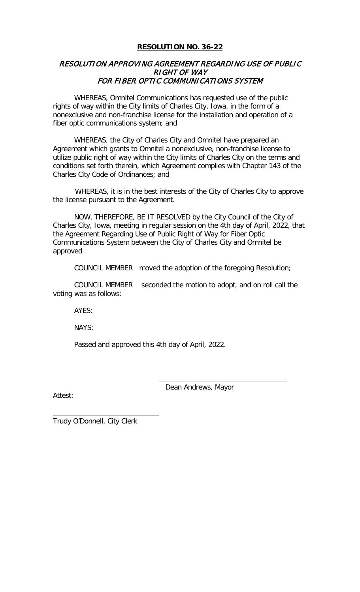### **RESOLUTION NO. 36-22**

## RESOLUTION APPROVING AGREEMENT REGARDING USE OF PUBLIC RIGHT OF WAY FOR FIBER OPTIC COMMUNICATIONS SYSTEM

WHEREAS, Omnitel Communications has requested use of the public rights of way within the City limits of Charles City, Iowa, in the form of a nonexclusive and non-franchise license for the installation and operation of a fiber optic communications system; and

WHEREAS, the City of Charles City and Omnitel have prepared an Agreement which grants to Omnitel a nonexclusive, non-franchise license to utilize public right of way within the City limits of Charles City on the terms and conditions set forth therein, which Agreement complies with Chapter 143 of the Charles City Code of Ordinances; and

 WHEREAS, it is in the best interests of the City of Charles City to approve the license pursuant to the Agreement.

NOW, THEREFORE, BE IT RESOLVED by the City Council of the City of Charles City, Iowa, meeting in regular session on the 4th day of April, 2022, that the Agreement Regarding Use of Public Right of Way for Fiber Optic Communications System between the City of Charles City and Omnitel be approved.

COUNCIL MEMBER moved the adoption of the foregoing Resolution;

COUNCIL MEMBER seconded the motion to adopt, and on roll call the voting was as follows:

AYES:

NAYS:

Passed and approved this 4th day of April, 2022.

Attest:

Dean Andrews, Mayor

Trudy O'Donnell, City Clerk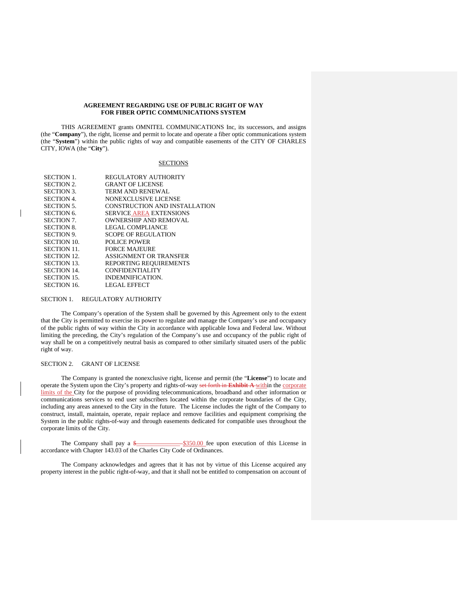#### **AGREEMENT REGARDING USE OF PUBLIC RIGHT OF WAY FOR FIBER OPTIC COMMUNICATIONS SYSTEM**

THIS AGREEMENT grants OMNITEL COMMUNICATIONS Inc, its successors, and assigns (the "**Company**"), the right, license and permit to locate and operate a fiber optic communications system (the "**System**") within the public rights of way and compatible easements of the CITY OF CHARLES CITY, IOWA (the "**City**").

#### **SECTIONS**

| <b>SECTION 1.</b>  | REGULATORY AUTHORITY           |
|--------------------|--------------------------------|
| <b>SECTION 2.</b>  | <b>GRANT OF LICENSE</b>        |
| <b>SECTION 3.</b>  | <b>TERM AND RENEWAL</b>        |
| <b>SECTION 4.</b>  | NONEXCLUSIVE LICENSE           |
| <b>SECTION 5.</b>  | CONSTRUCTION AND INSTALLATION  |
| <b>SECTION 6.</b>  | <b>SERVICE AREA EXTENSIONS</b> |
| <b>SECTION 7.</b>  | <b>OWNERSHIP AND REMOVAL</b>   |
| <b>SECTION 8.</b>  | LEGAL COMPLIANCE               |
| <b>SECTION 9.</b>  | <b>SCOPE OF REGULATION</b>     |
| SECTION 10.        | <b>POLICE POWER</b>            |
| <b>SECTION 11.</b> | <b>FORCE MAJEURE</b>           |
| <b>SECTION 12.</b> | ASSIGNMENT OR TRANSFER         |
| <b>SECTION 13.</b> | REPORTING REQUIREMENTS         |
| <b>SECTION 14.</b> | <b>CONFIDENTIALITY</b>         |
| SECTION 15.        | INDEMNIFICATION.               |
| SECTION 16.        | <b>LEGAL EFFECT</b>            |
|                    |                                |

#### SECTION 1. REGULATORY AUTHORITY

The Company's operation of the System shall be governed by this Agreement only to the extent that the City is permitted to exercise its power to regulate and manage the Company's use and occupancy of the public rights of way within the City in accordance with applicable Iowa and Federal law. Without limiting the preceding, the City's regulation of the Company's use and occupancy of the public right of way shall be on a competitively neutral basis as compared to other similarly situated users of the public right of way.

#### SECTION 2. GRANT OF LICENSE

The Company is granted the nonexclusive right, license and permit (the "**License**") to locate and operate the System upon the City's property and rights-of-way set forth in **Exhibit A** within the corporate limits of the City for the purpose of providing telecommunications, broadband and other information or communications services to end user subscribers located within the corporate boundaries of the City, including any areas annexed to the City in the future. The License includes the right of the Company to construct, install, maintain, operate, repair replace and remove facilities and equipment comprising the System in the public rights-of-way and through easements dedicated for compatible uses throughout the corporate limits of the City.

The Company shall pay a  $\frac{2}{3}$   $\frac{350.00}{350.00}$  fee upon execution of this License in accordance with Chapter 143.03 of the Charles City Code of Ordinances.

The Company acknowledges and agrees that it has not by virtue of this License acquired any property interest in the public right-of-way, and that it shall not be entitled to compensation on account of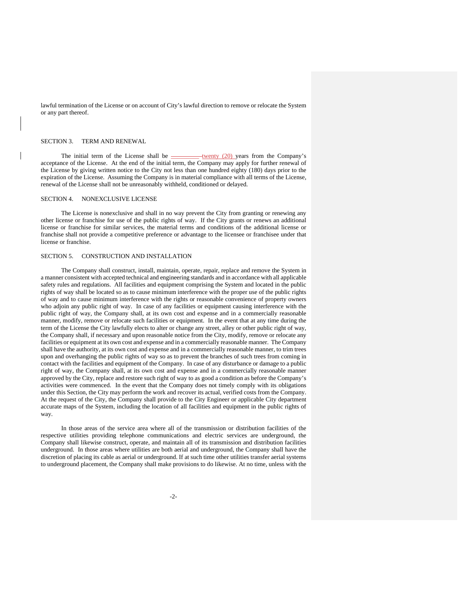lawful termination of the License or on account of City's lawful direction to remove or relocate the System or any part thereof.

#### SECTION 3. TERM AND RENEWAL

The initial term of the License shall be  $\frac{1}{\sqrt{2}}$  twenty (20) years from the Company's acceptance of the License. At the end of the initial term, the Company may apply for further renewal of the License by giving written notice to the City not less than one hundred eighty (180) days prior to the expiration of the License. Assuming the Company is in material compliance with all terms of the License, renewal of the License shall not be unreasonably withheld, conditioned or delayed.

#### SECTION 4. NONEXCLUSIVE LICENSE

The License is nonexclusive and shall in no way prevent the City from granting or renewing any other license or franchise for use of the public rights of way. If the City grants or renews an additional license or franchise for similar services, the material terms and conditions of the additional license or franchise shall not provide a competitive preference or advantage to the licensee or franchisee under that license or franchise.

#### SECTION 5. CONSTRUCTION AND INSTALLATION

The Company shall construct, install, maintain, operate, repair, replace and remove the System in a manner consistent with accepted technical and engineering standards and in accordance with all applicable safety rules and regulations. All facilities and equipment comprising the System and located in the public rights of way shall be located so as to cause minimum interference with the proper use of the public rights of way and to cause minimum interference with the rights or reasonable convenience of property owners who adjoin any public right of way. In case of any facilities or equipment causing interference with the public right of way, the Company shall, at its own cost and expense and in a commercially reasonable manner, modify, remove or relocate such facilities or equipment. In the event that at any time during the term of the License the City lawfully elects to alter or change any street, alley or other public right of way, the Company shall, if necessary and upon reasonable notice from the City, modify, remove or relocate any facilities or equipment at its own cost and expense and in a commercially reasonable manner. The Company shall have the authority, at its own cost and expense and in a commercially reasonable manner, to trim trees upon and overhanging the public rights of way so as to prevent the branches of such trees from coming in contact with the facilities and equipment of the Company. In case of any disturbance or damage to a public right of way, the Company shall, at its own cost and expense and in a commercially reasonable manner approved by the City, replace and restore such right of way to as good a condition as before the Company's activities were commenced. In the event that the Company does not timely comply with its obligations under this Section, the City may perform the work and recover its actual, verified costs from the Company. At the request of the City, the Company shall provide to the City Engineer or applicable City department accurate maps of the System, including the location of all facilities and equipment in the public rights of way.

In those areas of the service area where all of the transmission or distribution facilities of the respective utilities providing telephone communications and electric services are underground, the Company shall likewise construct, operate, and maintain all of its transmission and distribution facilities underground. In those areas where utilities are both aerial and underground, the Company shall have the discretion of placing its cable as aerial or underground. If at such time other utilities transfer aerial systems to underground placement, the Company shall make provisions to do likewise. At no time, unless with the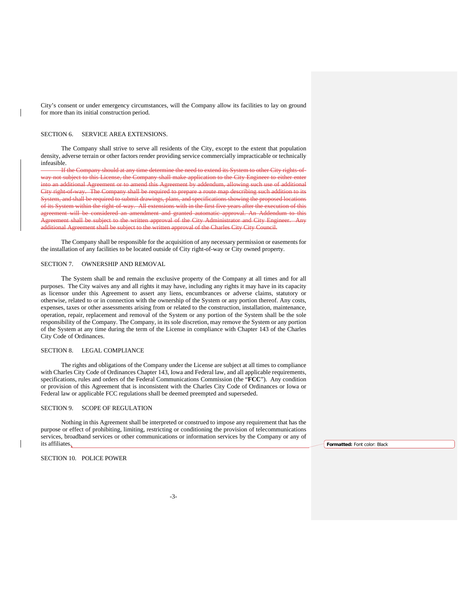City's consent or under emergency circumstances, will the Company allow its facilities to lay on ground for more than its initial construction period.

#### SECTION 6. SERVICE AREA EXTENSIONS.

The Company shall strive to serve all residents of the City, except to the extent that population density, adverse terrain or other factors render providing service commercially impracticable or technically infeasible.

If the Company should at any time determine the need to extend its System to other City rights-ofway not subject to this License, the Company shall make application to the City Engineer to either enter into an additional Agreement or to amend this Agreement by addendum, allowing such use of additional City right-of-way. The Company shall be required to prepare a route map describing such addition to its System, and shall be required to submit drawings, plans, and specifications showing the proposed locations of its System within the right-of-way. All extensions with in the first five years after the execution of this agreement will be considered an amendment and granted automatic approval. An Addendum to this Agreement shall be subject to the written approval of the City Administrator and City Engineer. Any additional Agreement shall be subject to the written approval of the Charles City City Council.

The Company shall be responsible for the acquisition of any necessary permission or easements for the installation of any facilities to be located outside of City right-of-way or City owned property.

#### SECTION 7. OWNERSHIP AND REMOVAL

The System shall be and remain the exclusive property of the Company at all times and for all purposes. The City waives any and all rights it may have, including any rights it may have in its capacity as licensor under this Agreement to assert any liens, encumbrances or adverse claims, statutory or otherwise, related to or in connection with the ownership of the System or any portion thereof. Any costs, expenses, taxes or other assessments arising from or related to the construction, installation, maintenance, operation, repair, replacement and removal of the System or any portion of the System shall be the sole responsibility of the Company. The Company, in its sole discretion, may remove the System or any portion of the System at any time during the term of the License in compliance with Chapter 143 of the Charles City Code of Ordinances.

#### SECTION 8. LEGAL COMPLIANCE

The rights and obligations of the Company under the License are subject at all times to compliance with Charles City Code of Ordinances Chapter 143, Iowa and Federal law, and all applicable requirements, specifications, rules and orders of the Federal Communications Commission (the "**FCC**"). Any condition or provision of this Agreement that is inconsistent with the Charles City Code of Ordinances or Iowa or Federal law or applicable FCC regulations shall be deemed preempted and superseded.

#### SECTION 9. SCOPE OF REGULATION

Nothing in this Agreement shall be interpreted or construed to impose any requirement that has the purpose or effect of prohibiting, limiting, restricting or conditioning the provision of telecommunications services, broadband services or other communications or information services by the Company or any of its affiliates.

SECTION 10. POLICE POWER

**Formatted:** Font color: Black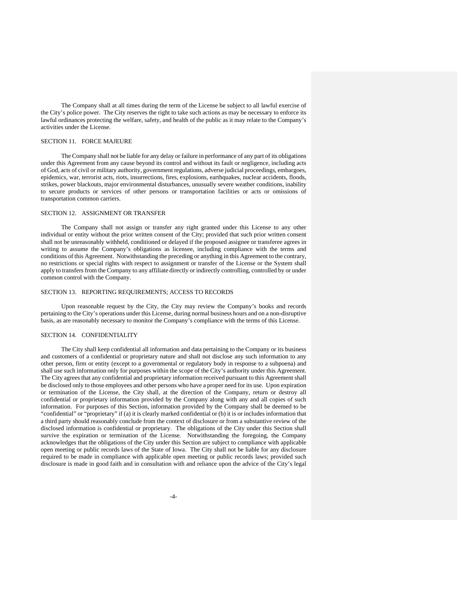The Company shall at all times during the term of the License be subject to all lawful exercise of the City's police power. The City reserves the right to take such actions as may be necessary to enforce its lawful ordinances protecting the welfare, safety, and health of the public as it may relate to the Company's activities under the License.

#### SECTION 11. FORCE MAJEURE

The Company shall not be liable for any delay or failure in performance of any part of its obligations under this Agreement from any cause beyond its control and without its fault or negligence, including acts of God, acts of civil or military authority, government regulations, adverse judicial proceedings, embargoes, epidemics, war, terrorist acts, riots, insurrections, fires, explosions, earthquakes, nuclear accidents, floods, strikes, power blackouts, major environmental disturbances, unusually severe weather conditions, inability to secure products or services of other persons or transportation facilities or acts or omissions of transportation common carriers.

#### SECTION 12. ASSIGNMENT OR TRANSFER

The Company shall not assign or transfer any right granted under this License to any other individual or entity without the prior written consent of the City; provided that such prior written consent shall not be unreasonably withheld, conditioned or delayed if the proposed assignee or transferee agrees in writing to assume the Company's obligations as licensee, including compliance with the terms and conditions of this Agreement. Notwithstanding the preceding or anything in this Agreement to the contrary, no restrictions or special rights with respect to assignment or transfer of the License or the System shall apply to transfers from the Company to any affiliate directly or indirectly controlling, controlled by or under common control with the Company.

#### SECTION 13. REPORTING REQUIREMENTS; ACCESS TO RECORDS

Upon reasonable request by the City, the City may review the Company's books and records pertaining to the City's operations under this License, during normal business hours and on a non-disruptive basis, as are reasonably necessary to monitor the Company's compliance with the terms of this License.

#### SECTION 14. CONFIDENTIALITY

The City shall keep confidential all information and data pertaining to the Company or its business and customers of a confidential or proprietary nature and shall not disclose any such information to any other person, firm or entity (except to a governmental or regulatory body in response to a subpoena) and shall use such information only for purposes within the scope of the City's authority under this Agreement. The City agrees that any confidential and proprietary information received pursuant to this Agreement shall be disclosed only to those employees and other persons who have a proper need for its use. Upon expiration or termination of the License, the City shall, at the direction of the Company, return or destroy all confidential or proprietary information provided by the Company along with any and all copies of such information. For purposes of this Section, information provided by the Company shall be deemed to be "confidential" or "proprietary" if (a) it is clearly marked confidential or (b) it is or includes information that a third party should reasonably conclude from the context of disclosure or from a substantive review of the disclosed information is confidential or proprietary. The obligations of the City under this Section shall survive the expiration or termination of the License. Notwithstanding the foregoing, the Company acknowledges that the obligations of the City under this Section are subject to compliance with applicable open meeting or public records laws of the State of Iowa. The City shall not be liable for any disclosure required to be made in compliance with applicable open meeting or public records laws; provided such disclosure is made in good faith and in consultation with and reliance upon the advice of the City's legal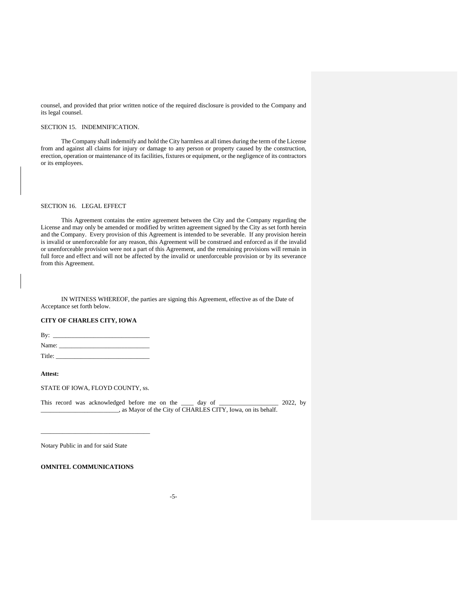counsel, and provided that prior written notice of the required disclosure is provided to the Company and its legal counsel.

#### SECTION 15. INDEMNIFICATION.

The Company shall indemnify and hold the City harmless at all times during the term of the License from and against all claims for injury or damage to any person or property caused by the construction, erection, operation or maintenance of its facilities, fixtures or equipment, or the negligence of its contractors or its employees.

### SECTION 16. LEGAL EFFECT

This Agreement contains the entire agreement between the City and the Company regarding the License and may only be amended or modified by written agreement signed by the City as set forth herein and the Company. Every provision of this Agreement is intended to be severable. If any provision herein is invalid or unenforceable for any reason, this Agreement will be construed and enforced as if the invalid or unenforceable provision were not a part of this Agreement, and the remaining provisions will remain in full force and effect and will not be affected by the invalid or unenforceable provision or by its severance from this Agreement.

IN WITNESS WHEREOF, the parties are signing this Agreement, effective as of the Date of Acceptance set forth below.

### **CITY OF CHARLES CITY, IOWA**

| By:    |  |  |  |
|--------|--|--|--|
| Name:  |  |  |  |
| Title: |  |  |  |

#### **Attest:**

STATE OF IOWA, FLOYD COUNTY, ss.

\_\_\_\_\_\_\_\_\_\_\_\_\_\_\_\_\_\_\_\_\_\_\_\_\_\_\_\_\_\_\_\_\_\_\_

This record was acknowledged before me on the \_\_\_\_ day of \_\_\_\_\_\_\_\_\_\_\_\_\_\_\_\_\_ 2022, by \_\_\_\_\_\_\_\_\_\_\_\_\_\_\_\_\_\_\_\_\_\_\_\_\_, as Mayor of the City of CHARLES CITY, Iowa, on its behalf.

Notary Public in and for said State

### **OMNITEL COMMUNICATIONS**